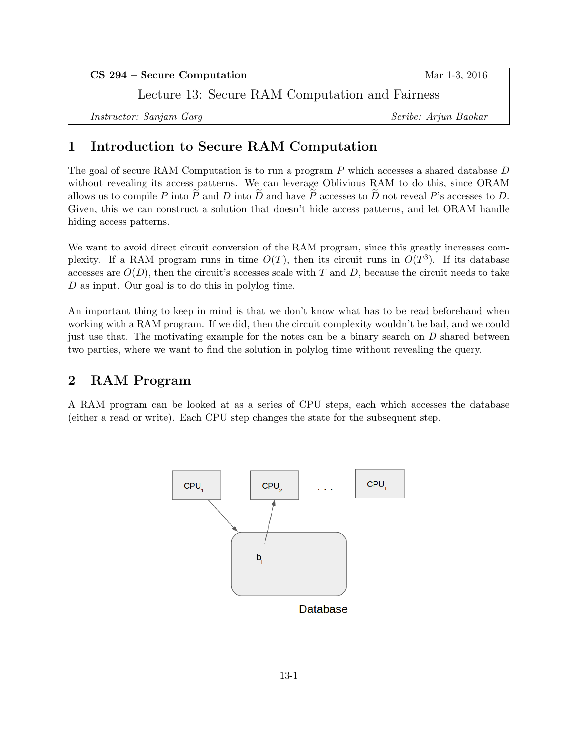CS 294 – Secure Computation Mar 1-3, 2016 Lecture 13: Secure RAM Computation and Fairness Instructor: Sanjam Garg Scribe: Arjun Baokar

# 1 Introduction to Secure RAM Computation

The goal of secure RAM Computation is to run a program P which accesses a shared database D without revealing its access patterns. We can leverage Oblivious RAM to do this, since ORAM allows us to compile P into P and D into D and have P accesses to D not reveal P's accesses to D. Given, this we can construct a solution that doesn't hide access patterns, and let ORAM handle hiding access patterns.

We want to avoid direct circuit conversion of the RAM program, since this greatly increases complexity. If a RAM program runs in time  $O(T)$ , then its circuit runs in  $O(T^3)$ . If its database accesses are  $O(D)$ , then the circuit's accesses scale with T and D, because the circuit needs to take D as input. Our goal is to do this in polylog time.

An important thing to keep in mind is that we don't know what has to be read beforehand when working with a RAM program. If we did, then the circuit complexity wouldn't be bad, and we could just use that. The motivating example for the notes can be a binary search on  $D$  shared between two parties, where we want to find the solution in polylog time without revealing the query.

## 2 RAM Program

A RAM program can be looked at as a series of CPU steps, each which accesses the database (either a read or write). Each CPU step changes the state for the subsequent step.

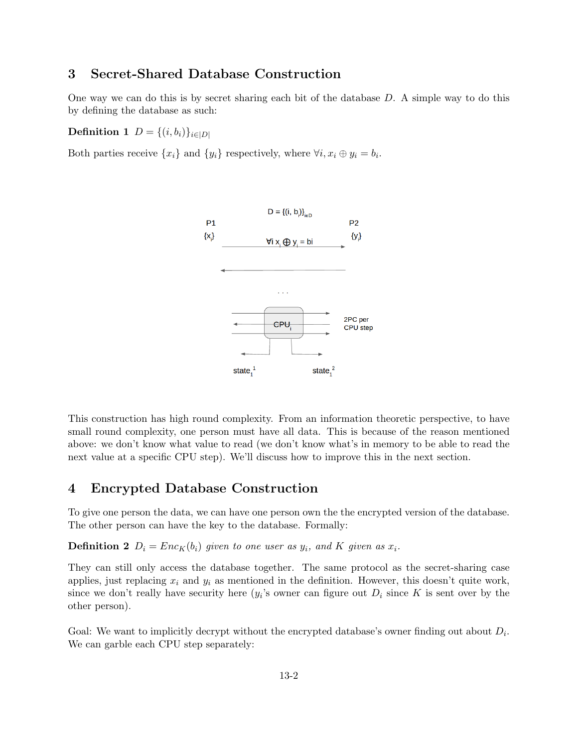## 3 Secret-Shared Database Construction

One way we can do this is by secret sharing each bit of the database  $D$ . A simple way to do this by defining the database as such:

Definition 1  $D = \{(i, b_i)\}_{i \in |D|}$ 

Both parties receive  $\{x_i\}$  and  $\{y_i\}$  respectively, where  $\forall i, x_i \oplus y_i = b_i$ .



This construction has high round complexity. From an information theoretic perspective, to have small round complexity, one person must have all data. This is because of the reason mentioned above: we don't know what value to read (we don't know what's in memory to be able to read the next value at a specific CPU step). We'll discuss how to improve this in the next section.

### 4 Encrypted Database Construction

To give one person the data, we can have one person own the the encrypted version of the database. The other person can have the key to the database. Formally:

**Definition 2**  $D_i = Enc_K(b_i)$  given to one user as  $y_i$ , and K given as  $x_i$ .

They can still only access the database together. The same protocol as the secret-sharing case applies, just replacing  $x_i$  and  $y_i$  as mentioned in the definition. However, this doesn't quite work, since we don't really have security here  $(y_i)$ 's owner can figure out  $D_i$  since K is sent over by the other person).

Goal: We want to implicitly decrypt without the encrypted database's owner finding out about  $D_i$ . We can garble each CPU step separately: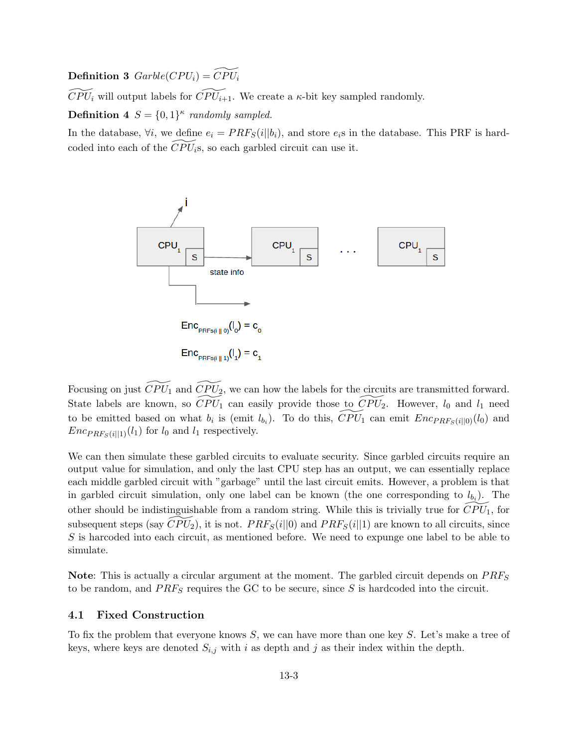**Definition 3**  $Garble(CPU_i) = \widetilde{CPU_i}$ 

 $\widetilde{CPU}_i$  will output labels for  $\widetilde{CPU}_{i+1}$ . We create a  $\kappa$ -bit key sampled randomly.

**Definition 4**  $S = \{0, 1\}^{\kappa}$  randomly sampled.

In the database,  $\forall i$ , we define  $e_i = PRF_S(i||b_i)$ , and store  $e_i$ s in the database. This PRF is hardcoded into each of the  $\overline{CPU}_i$ s, so each garbled circuit can use it.



Focusing on just  $\widetilde{CPU_1}$  and  $\widetilde{CPU_2}$ , we can how the labels for the circuits are transmitted forward. State labels are known, so  $\widetilde{CPU}_1$  can easily provide those to  $\widetilde{CPU}_2$ . However,  $l_0$  and  $l_1$  need to be emitted based on what  $b_i$  is (emit  $l_{b_i}$ ). To do this,  $\widetilde{CPU}_1$  can emit  $Enc_{PRF_S(i||0)}(l_0)$  and  $Enc_{PRF_S(i||1)}(l_1)$  for  $l_0$  and  $l_1$  respectively.

We can then simulate these garbled circuits to evaluate security. Since garbled circuits require an output value for simulation, and only the last CPU step has an output, we can essentially replace each middle garbled circuit with "garbage" until the last circuit emits. However, a problem is that in garbled circuit simulation, only one label can be known (the one corresponding to  $l_{b_i}$ ). The other should be indistinguishable from a random string. While this is trivially true for  $CPU_1$ , for subsequent steps (say  $\widetilde{CPU}_2$ ), it is not.  $PRF_S(i||0)$  and  $PRF_S(i||1)$  are known to all circuits, since S is harcoded into each circuit, as mentioned before. We need to expunge one label to be able to simulate.

Note: This is actually a circular argument at the moment. The garbled circuit depends on  $PRF_S$ to be random, and  $PRF_S$  requires the GC to be secure, since S is hardcoded into the circuit.

#### 4.1 Fixed Construction

To fix the problem that everyone knows S, we can have more than one key S. Let's make a tree of keys, where keys are denoted  $S_{i,j}$  with i as depth and j as their index within the depth.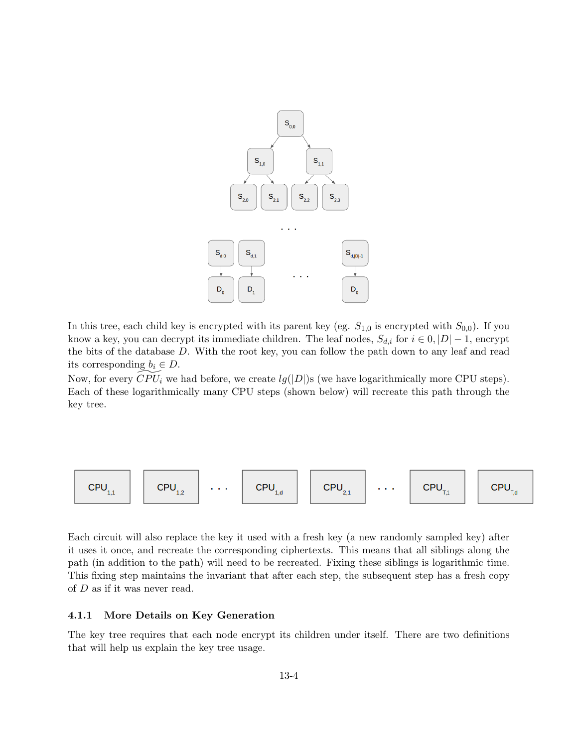

In this tree, each child key is encrypted with its parent key (eg.  $S_{1,0}$  is encrypted with  $S_{0,0}$ ). If you know a key, you can decrypt its immediate children. The leaf nodes,  $S_{d,i}$  for  $i \in \{0, |D|-1\}$ , encrypt the bits of the database D. With the root key, you can follow the path down to any leaf and read its corresponding  $b_i \in D$ .

Now, for every  $\widehat{CPU}_i$  we had before, we create  $lg(|D|)$ s (we have logarithmically more CPU steps). Each of these logarithmically many CPU steps (shown below) will recreate this path through the key tree.



Each circuit will also replace the key it used with a fresh key (a new randomly sampled key) after it uses it once, and recreate the corresponding ciphertexts. This means that all siblings along the path (in addition to the path) will need to be recreated. Fixing these siblings is logarithmic time. This fixing step maintains the invariant that after each step, the subsequent step has a fresh copy of D as if it was never read.

#### 4.1.1 More Details on Key Generation

The key tree requires that each node encrypt its children under itself. There are two definitions that will help us explain the key tree usage.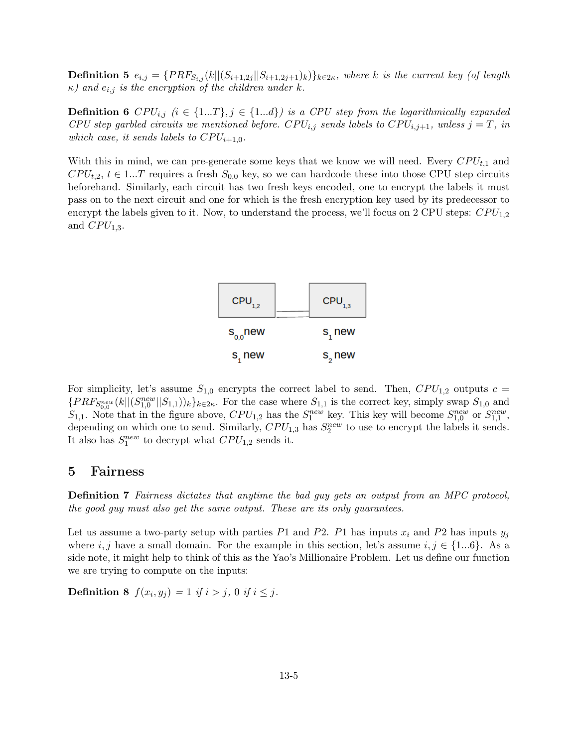**Definition 5**  $e_{i,j} = {PRF_{S_{i,j}}(k||(S_{i+1,2j}||S_{i+1,2j+1})_k)}_{k \in 2\kappa}$ , where k is the current key (of length  $\kappa$ ) and  $e_{i,j}$  is the encryption of the children under k.

**Definition 6** CPU<sub>i,j</sub>  $(i \in \{1...T\}, j \in \{1...d\})$  is a CPU step from the logarithmically expanded CPU step garbled circuits we mentioned before. CPU<sub>i,j</sub> sends labels to CPU<sub>i,j+1</sub>, unless j = T, in which case, it sends labels to  $CPU_{i+1,0}$ .

With this in mind, we can pre-generate some keys that we know we will need. Every  $CPU_{t,1}$  and  $CPU_{t,2}, t \in 1...T$  requires a fresh  $S_{0,0}$  key, so we can hardcode these into those CPU step circuits beforehand. Similarly, each circuit has two fresh keys encoded, one to encrypt the labels it must pass on to the next circuit and one for which is the fresh encryption key used by its predecessor to encrypt the labels given to it. Now, to understand the process, we'll focus on 2 CPU steps:  $CPU_{1,2}$ and  $CPU_{1,3}$ .



For simplicity, let's assume  $S_{1,0}$  encrypts the correct label to send. Then,  $CPU_{1,2}$  outputs  $c =$  ${PRF_{S_{0,0}^{new}}(k||(S_{1,0}^{new}||S_{1,1}))_k\}_{k\in 2\kappa}}$ . For the case where  $S_{1,1}$  is the correct key, simply swap  $S_{1,0}$  and  $S_{1,1}$ . Note that in the figure above,  $CPU_{1,2}$  has the  $S_1^{new}$  key. This key will become  $S_{1,0}^{new}$  or  $S_{1,1}^{new}$ , depending on which one to send. Similarly,  $CPU_{1,3}$  has  $S_2^{new}$  to use to encrypt the labels it sends. It also has  $S_1^{new}$  to decrypt what  $CPU_{1,2}$  sends it.

### 5 Fairness

Definition 7 Fairness dictates that anytime the bad guy gets an output from an MPC protocol, the good guy must also get the same output. These are its only guarantees.

Let us assume a two-party setup with parties P1 and P2. P1 has inputs  $x_i$  and P2 has inputs  $y_j$ where i, j have a small domain. For the example in this section, let's assume  $i, j \in \{1...6\}$ . As a side note, it might help to think of this as the Yao's Millionaire Problem. Let us define our function we are trying to compute on the inputs:

**Definition 8**  $f(x_i, y_j) = 1$  if  $i > j$ , 0 if  $i \leq j$ .